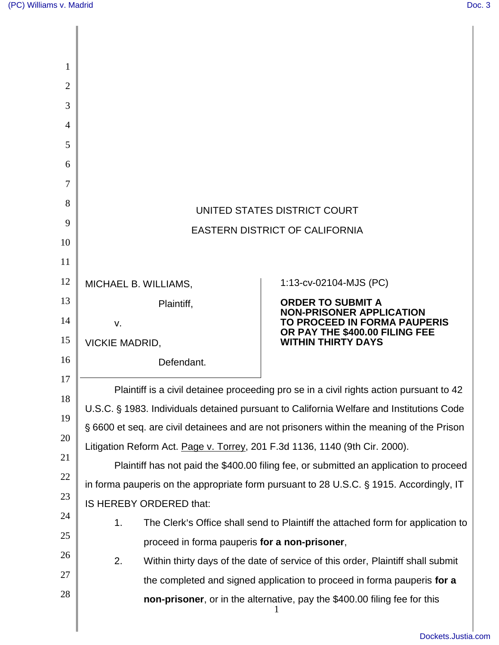| 1              |                                                                                           |                                                                                 |  |
|----------------|-------------------------------------------------------------------------------------------|---------------------------------------------------------------------------------|--|
| $\overline{2}$ |                                                                                           |                                                                                 |  |
| 3              |                                                                                           |                                                                                 |  |
| 4              |                                                                                           |                                                                                 |  |
| 5              |                                                                                           |                                                                                 |  |
| 6              |                                                                                           |                                                                                 |  |
| 7              |                                                                                           |                                                                                 |  |
| 8              | UNITED STATES DISTRICT COURT                                                              |                                                                                 |  |
| 9              | <b>EASTERN DISTRICT OF CALIFORNIA</b>                                                     |                                                                                 |  |
| 10             |                                                                                           |                                                                                 |  |
| 11             |                                                                                           |                                                                                 |  |
| 12             | MICHAEL B. WILLIAMS,                                                                      | 1:13-cv-02104-MJS (PC)                                                          |  |
| 13             | Plaintiff,                                                                                | <b>ORDER TO SUBMIT A</b><br><b>NON-PRISONER APPLICATION</b>                     |  |
| 14             | v.                                                                                        | TO PROCEED IN FORMA PAUPERIS<br>OR PAY THE \$400.00 FILING FEE                  |  |
| 15             | <b>WITHIN THIRTY DAYS</b><br><b>VICKIE MADRID,</b>                                        |                                                                                 |  |
| 16<br>17       | Defendant.                                                                                |                                                                                 |  |
| 18             | Plaintiff is a civil detainee proceeding pro se in a civil rights action pursuant to 42   |                                                                                 |  |
| 19             | U.S.C. § 1983. Individuals detained pursuant to California Welfare and Institutions Code  |                                                                                 |  |
| 20             | § 6600 et seq. are civil detainees and are not prisoners within the meaning of the Prison |                                                                                 |  |
| 21             | Litigation Reform Act. Page v. Torrey, 201 F.3d 1136, 1140 (9th Cir. 2000).               |                                                                                 |  |
| 22             | Plaintiff has not paid the \$400.00 filing fee, or submitted an application to proceed    |                                                                                 |  |
|                | in forma pauperis on the appropriate form pursuant to 28 U.S.C. § 1915. Accordingly, IT   |                                                                                 |  |
| 23             | IS HEREBY ORDERED that:                                                                   |                                                                                 |  |
| 24             | 1.                                                                                        | The Clerk's Office shall send to Plaintiff the attached form for application to |  |
| 25             | proceed in forma pauperis for a non-prisoner,                                             |                                                                                 |  |
| 26             | 2.                                                                                        | Within thirty days of the date of service of this order, Plaintiff shall submit |  |
| 27             |                                                                                           | the completed and signed application to proceed in forma pauperis for a         |  |
| 28             |                                                                                           | non-prisoner, or in the alternative, pay the \$400.00 filing fee for this       |  |
|                |                                                                                           |                                                                                 |  |